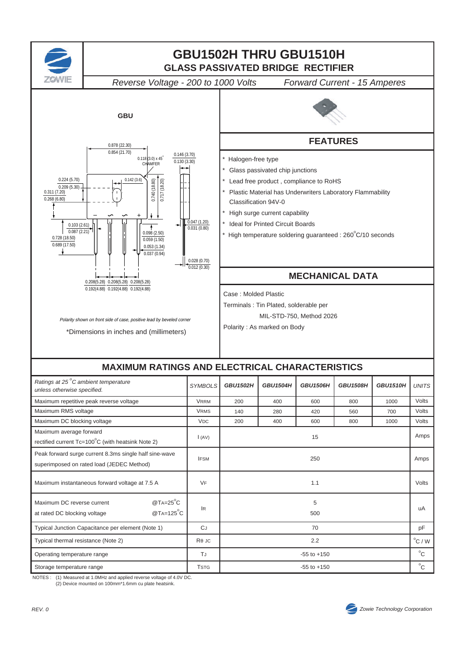

NOTES : (1) Measured at 1.0MHz and applied reverse voltage of 4.0V DC. (2) Device mounted on 100mm\*1.6mm cu plate heatsink.